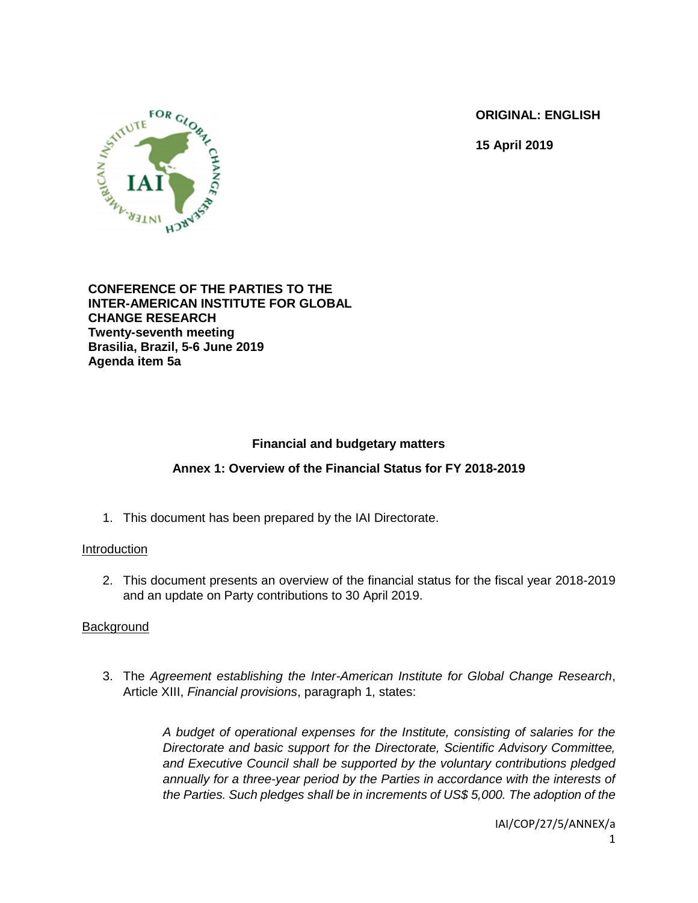**ORIGINAL: ENGLISH**

**15 April 2019**



### **CONFERENCE OF THE PARTIES TO THE INTER-AMERICAN INSTITUTE FOR GLOBAL CHANGE RESEARCH Twenty-seventh meeting Brasilia, Brazil, 5-6 June 2019 Agenda item 5a**

# **Financial and budgetary matters**

# **Annex 1: Overview of the Financial Status for FY 2018-2019**

1. This document has been prepared by the IAI Directorate.

## Introduction

2. This document presents an overview of the financial status for the fiscal year 2018-2019 and an update on Party contributions to 30 April 2019.

# **Background**

3. The *Agreement establishing the Inter-American Institute for Global Change Research*, Article XIII, *Financial provisions*, paragraph 1, states:

> *A budget of operational expenses for the Institute, consisting of salaries for the Directorate and basic support for the Directorate, Scientific Advisory Committee, and Executive Council shall be supported by the voluntary contributions pledged annually for a three-year period by the Parties in accordance with the interests of the Parties. Such pledges shall be in increments of US\$ 5,000. The adoption of the*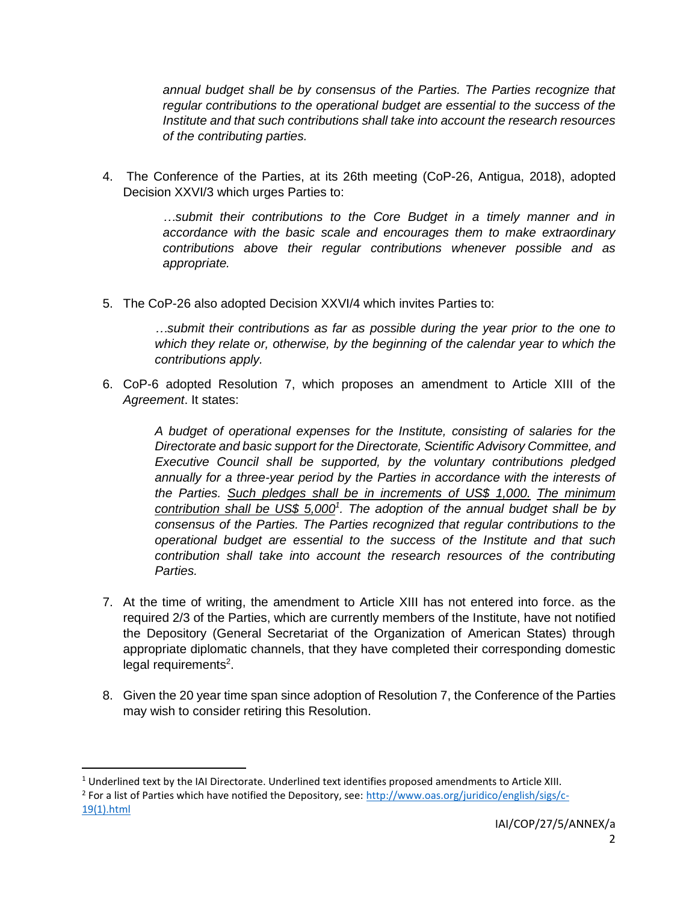*annual budget shall be by consensus of the Parties. The Parties recognize that regular contributions to the operational budget are essential to the success of the Institute and that such contributions shall take into account the research resources of the contributing parties.*

4. The Conference of the Parties, at its 26th meeting (CoP-26, Antigua, 2018), adopted Decision XXVI/3 which urges Parties to:

> *…submit their contributions to the Core Budget in a timely manner and in accordance with the basic scale and encourages them to make extraordinary contributions above their regular contributions whenever possible and as appropriate.*

5. The CoP-26 also adopted Decision XXVI/4 which invites Parties to:

*…submit their contributions as far as possible during the year prior to the one to which they relate or, otherwise, by the beginning of the calendar year to which the contributions apply.*

6. CoP-6 adopted Resolution 7, which proposes an amendment to Article XIII of the *Agreement*. It states:

> *A budget of operational expenses for the Institute, consisting of salaries for the Directorate and basic support for the Directorate, Scientific Advisory Committee, and Executive Council shall be supported, by the voluntary contributions pledged annually for a three-year period by the Parties in accordance with the interests of the Parties. Such pledges shall be in increments of US\$ 1,000. The minimum contribution shall be US\$ 5,000<sup>1</sup> . The adoption of the annual budget shall be by consensus of the Parties. The Parties recognized that regular contributions to the operational budget are essential to the success of the Institute and that such contribution shall take into account the research resources of the contributing Parties.*

- 7. At the time of writing, the amendment to Article XIII has not entered into force. as the required 2/3 of the Parties, which are currently members of the Institute, have not notified the Depository (General Secretariat of the Organization of American States) through appropriate diplomatic channels, that they have completed their corresponding domestic legal requirements<sup>2</sup>.
- 8. Given the 20 year time span since adoption of Resolution 7, the Conference of the Parties may wish to consider retiring this Resolution.

 $\overline{\phantom{a}}$ 

 $1$  Underlined text by the IAI Directorate. Underlined text identifies proposed amendments to Article XIII.

<sup>&</sup>lt;sup>2</sup> For a list of Parties which have notified the Depository, see: [http://www.oas.org/juridico/english/sigs/c-](http://www.oas.org/juridico/english/sigs/c-19(1).html)[19\(1\).html](http://www.oas.org/juridico/english/sigs/c-19(1).html)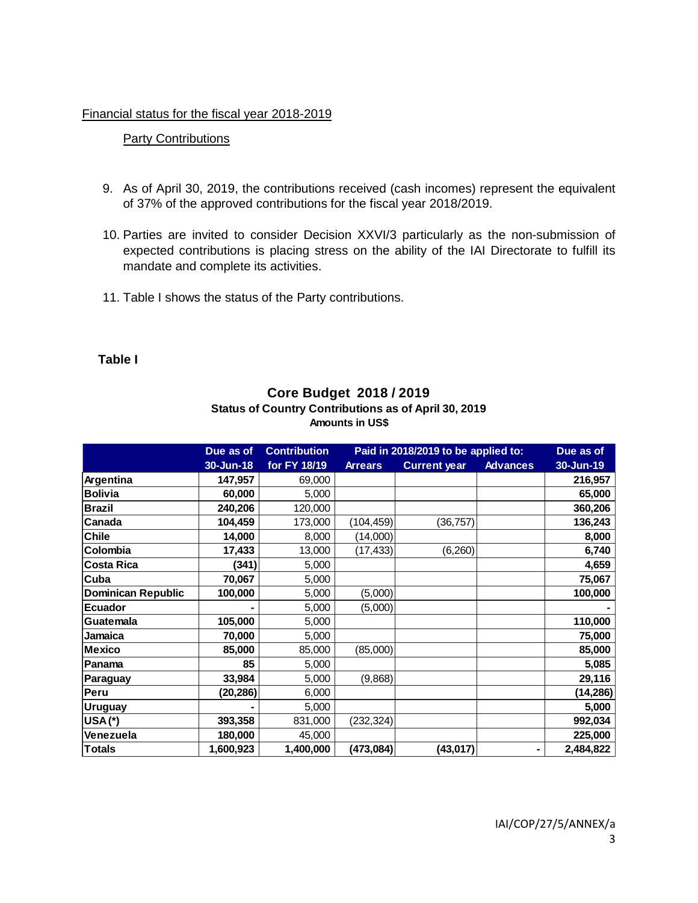### Financial status for the fiscal year 2018-2019

## **Party Contributions**

- 9. As of April 30, 2019, the contributions received (cash incomes) represent the equivalent of 37% of the approved contributions for the fiscal year 2018/2019.
- 10. Parties are invited to consider Decision XXVI/3 particularly as the non-submission of expected contributions is placing stress on the ability of the IAI Directorate to fulfill its mandate and complete its activities.
- 11. Table I shows the status of the Party contributions.

## **Table I**

|                           | Due as of | <b>Contribution</b> | Paid in 2018/2019 to be applied to: |                     |                 | Due as of |
|---------------------------|-----------|---------------------|-------------------------------------|---------------------|-----------------|-----------|
|                           | 30-Jun-18 | for FY 18/19        | <b>Arrears</b>                      | <b>Current year</b> | <b>Advances</b> | 30-Jun-19 |
| Argentina                 | 147,957   | 69,000              |                                     |                     |                 | 216,957   |
| <b>Bolivia</b>            | 60,000    | 5,000               |                                     |                     |                 | 65,000    |
| <b>Brazil</b>             | 240,206   | 120,000             |                                     |                     |                 | 360,206   |
| Canada                    | 104,459   | 173,000             | (104, 459)                          | (36, 757)           |                 | 136,243   |
| <b>Chile</b>              | 14,000    | 8,000               | (14,000)                            |                     |                 | 8,000     |
| Colombia                  | 17,433    | 13,000              | (17,433)                            | (6, 260)            |                 | 6,740     |
| <b>Costa Rica</b>         | (341)     | 5,000               |                                     |                     |                 | 4,659     |
| Cuba                      | 70,067    | 5,000               |                                     |                     |                 | 75,067    |
| <b>Dominican Republic</b> | 100,000   | 5,000               | (5,000)                             |                     |                 | 100,000   |
| <b>Ecuador</b>            |           | 5,000               | (5,000)                             |                     |                 |           |
| Guatemala                 | 105,000   | 5,000               |                                     |                     |                 | 110,000   |
| Jamaica                   | 70,000    | 5,000               |                                     |                     |                 | 75,000    |
| <b>Mexico</b>             | 85,000    | 85,000              | (85,000)                            |                     |                 | 85,000    |
| Panama                    | 85        | 5,000               |                                     |                     |                 | 5,085     |
| Paraguay                  | 33,984    | 5,000               | (9,868)                             |                     |                 | 29,116    |
| Peru                      | (20, 286) | 6,000               |                                     |                     |                 | (14, 286) |
| <b>Uruguay</b>            |           | 5,000               |                                     |                     |                 | 5,000     |
| $USA(*)$                  | 393,358   | 831,000             | (232, 324)                          |                     |                 | 992,034   |
| Venezuela                 | 180,000   | 45,000              |                                     |                     |                 | 225,000   |
| <b>Totals</b>             | 1,600,923 | 1,400,000           | (473, 084)                          | (43, 017)           | ۰               | 2,484,822 |

## **Core Budget 2018 / 2019 Status of Country Contributions as of April 30, 2019 Amounts in US\$**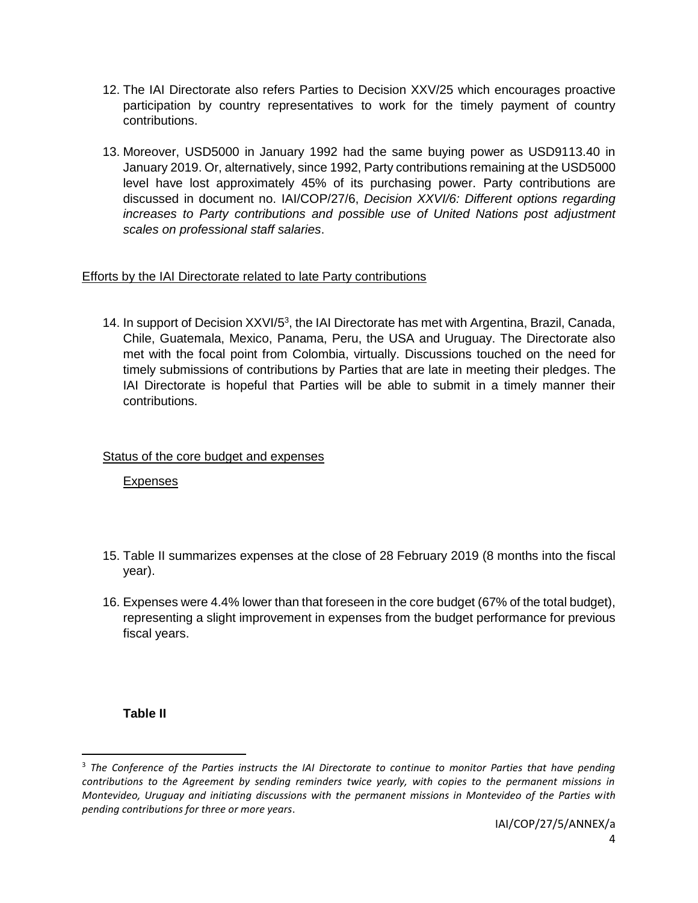- 12. The IAI Directorate also refers Parties to Decision XXV/25 which encourages proactive participation by country representatives to work for the timely payment of country contributions.
- 13. Moreover, USD5000 in January 1992 had the same buying power as USD9113.40 in January 2019. Or, alternatively, since 1992, Party contributions remaining at the USD5000 level have lost approximately 45% of its purchasing power. Party contributions are discussed in document no. IAI/COP/27/6, *Decision XXVI/6: Different options regarding increases to Party contributions and possible use of United Nations post adjustment scales on professional staff salaries*.

# Efforts by the IAI Directorate related to late Party contributions

14. In support of Decision XXVI/5<sup>3</sup>, the IAI Directorate has met with Argentina, Brazil, Canada, Chile, Guatemala, Mexico, Panama, Peru, the USA and Uruguay. The Directorate also met with the focal point from Colombia, virtually. Discussions touched on the need for timely submissions of contributions by Parties that are late in meeting their pledges. The IAI Directorate is hopeful that Parties will be able to submit in a timely manner their contributions.

## Status of the core budget and expenses

Expenses

- 15. Table II summarizes expenses at the close of 28 February 2019 (8 months into the fiscal year).
- 16. Expenses were 4.4% lower than that foreseen in the core budget (67% of the total budget), representing a slight improvement in expenses from the budget performance for previous fiscal years.

# **Table II**

 $\overline{\phantom{a}}$ 

<sup>3</sup> *The Conference of the Parties instructs the IAI Directorate to continue to monitor Parties that have pending contributions to the Agreement by sending reminders twice yearly, with copies to the permanent missions in Montevideo, Uruguay and initiating discussions with the permanent missions in Montevideo of the Parties with pending contributions for three or more years*.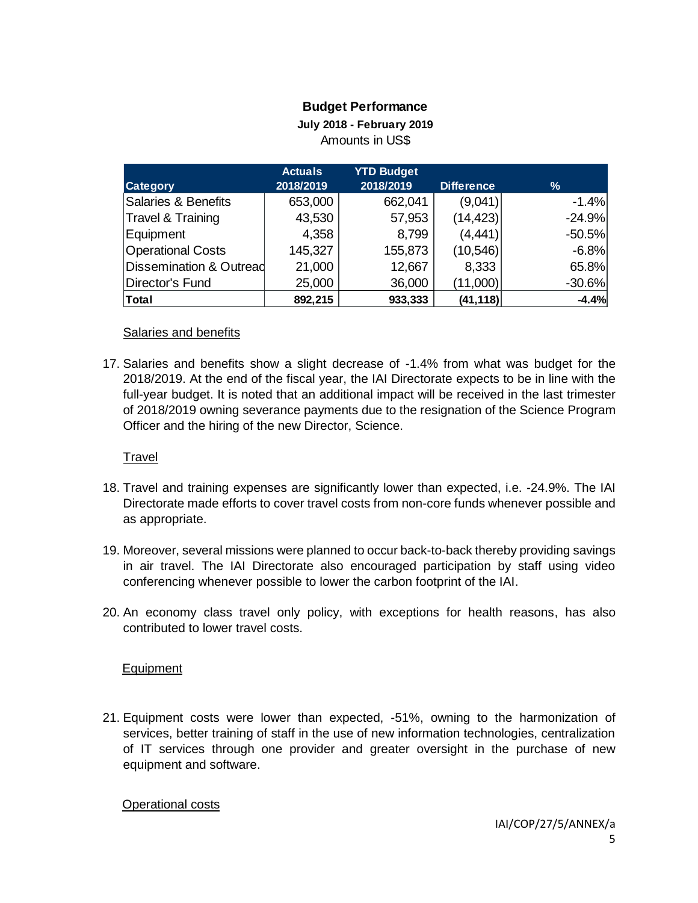# **Budget Performance**

**July 2018 - February 2019**

Amounts in US\$

|                                    | <b>Actuals</b> | <b>YTD Budget</b> |                   |               |
|------------------------------------|----------------|-------------------|-------------------|---------------|
| <b>Category</b>                    | 2018/2019      | 2018/2019         | <b>Difference</b> | $\frac{9}{6}$ |
| <b>Salaries &amp; Benefits</b>     | 653,000        | 662,041           | (9,041)           | $-1.4%$       |
| <b>Travel &amp; Training</b>       | 43,530         | 57,953            | (14, 423)         | $-24.9%$      |
| Equipment                          | 4,358          | 8,799             | (4, 441)          | $-50.5%$      |
| <b>Operational Costs</b>           | 145,327        | 155,873           | (10, 546)         | $-6.8%$       |
| <b>Dissemination &amp; Outread</b> | 21,000         | 12,667            | 8,333             | 65.8%         |
| Director's Fund                    | 25,000         | 36,000            | (11,000)          | $-30.6%$      |
| <b>Total</b>                       | 892,215        | 933,333           | (41, 118)         | $-4.4%$       |

### Salaries and benefits

17. Salaries and benefits show a slight decrease of -1.4% from what was budget for the 2018/2019. At the end of the fiscal year, the IAI Directorate expects to be in line with the full-year budget. It is noted that an additional impact will be received in the last trimester of 2018/2019 owning severance payments due to the resignation of the Science Program Officer and the hiring of the new Director, Science.

### Travel

- 18. Travel and training expenses are significantly lower than expected, i.e. -24.9%. The IAI Directorate made efforts to cover travel costs from non-core funds whenever possible and as appropriate.
- 19. Moreover, several missions were planned to occur back-to-back thereby providing savings in air travel. The IAI Directorate also encouraged participation by staff using video conferencing whenever possible to lower the carbon footprint of the IAI.
- 20. An economy class travel only policy, with exceptions for health reasons, has also contributed to lower travel costs.

## Equipment

21. Equipment costs were lower than expected, -51%, owning to the harmonization of services, better training of staff in the use of new information technologies, centralization of IT services through one provider and greater oversight in the purchase of new equipment and software.

Operational costs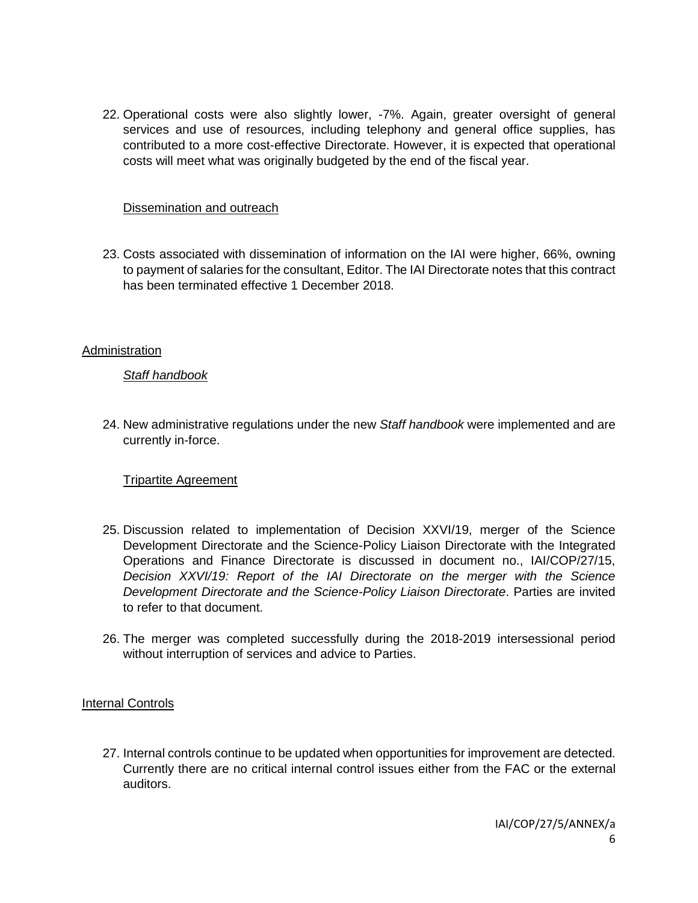22. Operational costs were also slightly lower, -7%. Again, greater oversight of general services and use of resources, including telephony and general office supplies, has contributed to a more cost-effective Directorate. However, it is expected that operational costs will meet what was originally budgeted by the end of the fiscal year.

## Dissemination and outreach

23. Costs associated with dissemination of information on the IAI were higher, 66%, owning to payment of salaries for the consultant, Editor. The IAI Directorate notes that this contract has been terminated effective 1 December 2018.

### **Administration**

### *Staff handbook*

24. New administrative regulations under the new *Staff handbook* were implemented and are currently in-force.

## Tripartite Agreement

- 25. Discussion related to implementation of Decision XXVI/19, merger of the Science Development Directorate and the Science-Policy Liaison Directorate with the Integrated Operations and Finance Directorate is discussed in document no., IAI/COP/27/15, *Decision XXVI/19: Report of the IAI Directorate on the merger with the Science Development Directorate and the Science-Policy Liaison Directorate*. Parties are invited to refer to that document.
- 26. The merger was completed successfully during the 2018-2019 intersessional period without interruption of services and advice to Parties.

#### Internal Controls

27. Internal controls continue to be updated when opportunities for improvement are detected. Currently there are no critical internal control issues either from the FAC or the external auditors.